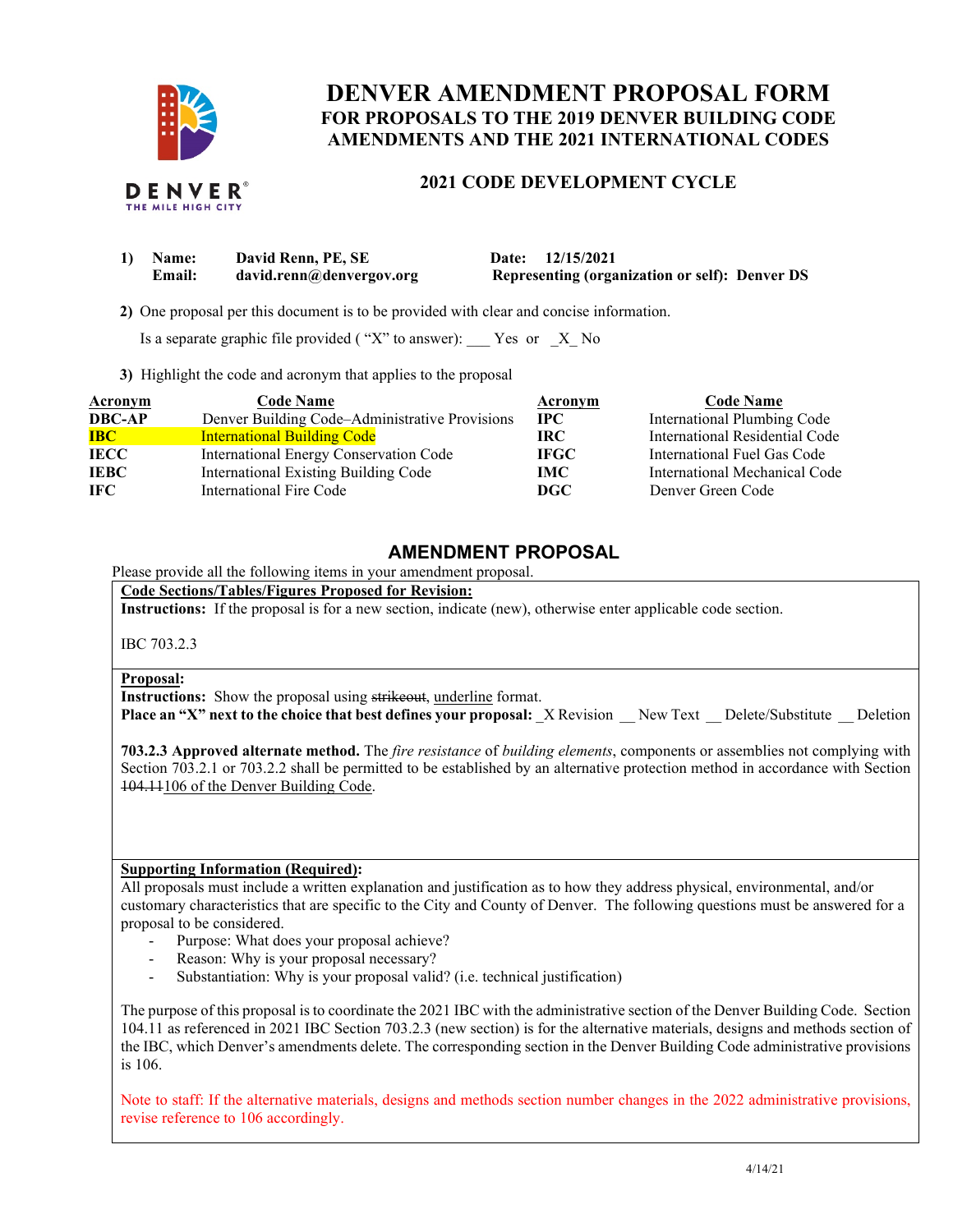

## **DENVER AMENDMENT PROPOSAL FORM AMENDMENTS AND THE 2021 INTERNATIONAL CODES FOR PROPOSALS TO THE 2019 DENVER BUILDING CODE**

# **2021 CODE DEVELOPMENT CYCLE**

| 1) | <b>Name:</b> | David Renn, PE, SE       | Date: 12/15/2021                                      |
|----|--------------|--------------------------|-------------------------------------------------------|
|    | Email:       | david.renn@denvergov.org | <b>Representing (organization or self): Denver DS</b> |

**2)** One proposal per this document is to be provided with clear and concise information.

Is a separate graphic file provided ("X" to answer):  $\Gamma$  Yes or  $X$  No

**3)** Highlight the code and acronym that applies to the proposal

| <b>Acronym</b> | <b>Code Name</b>                               | Acronym     | <b>Code Name</b>               |
|----------------|------------------------------------------------|-------------|--------------------------------|
| <b>DBC-AP</b>  | Denver Building Code-Administrative Provisions | $\bf IPC$   | International Plumbing Code    |
| <b>IBC</b>     | <b>International Building Code</b>             | IRC.        | International Residential Code |
| <b>IECC</b>    | International Energy Conservation Code         | <b>IFGC</b> | International Fuel Gas Code    |
| <b>IEBC</b>    | International Existing Building Code           | IMC .       | International Mechanical Code  |
| -IFC           | International Fire Code                        | DGC         | Denver Green Code              |

### **AMENDMENT PROPOSAL**

Please provide all the following items in your amendment proposal.

 **Code Sections/Tables/Figures Proposed for Revision:** 

**Instructions:** If the proposal is for a new section, indicate (new), otherwise enter applicable code section.

IBC 703.2.3

**Proposal:** 

**Instructions:** Show the proposal using strikeout, underline format.

**Place an "X" next to the choice that best defines your proposal: \_X Revision \_\_ New Text \_\_ Delete/Substitute \_\_ Deletion** 

 **703.2.3 Approved alternate method.** The *fire resistance* of *building elements*, components or assemblies not complying with Section 703.2.1 or 703.2.2 shall be permitted to be established by an alternative protection method in accordance with Section 104.11106 of the Denver Building Code.

#### **Supporting Information (Required):**

 All proposals must include a written explanation and justification as to how they address physical, environmental, and/or customary characteristics that are specific to the City and County of Denver. The following questions must be answered for a proposal to be considered.

- Purpose: What does your proposal achieve?
- Reason: Why is your proposal necessary?
- Substantiation: Why is your proposal valid? (i.e. technical justification)

 The purpose of this proposal is to coordinate the 2021 IBC with the administrative section of the Denver Building Code. Section 104.11 as referenced in 2021 IBC Section 703.2.3 (new section) is for the alternative materials, designs and methods section of the IBC, which Denver's amendments delete. The corresponding section in the Denver Building Code administrative provisions is 106.

 Note to staff: If the alternative materials, designs and methods section number changes in the 2022 administrative provisions, revise reference to 106 accordingly.